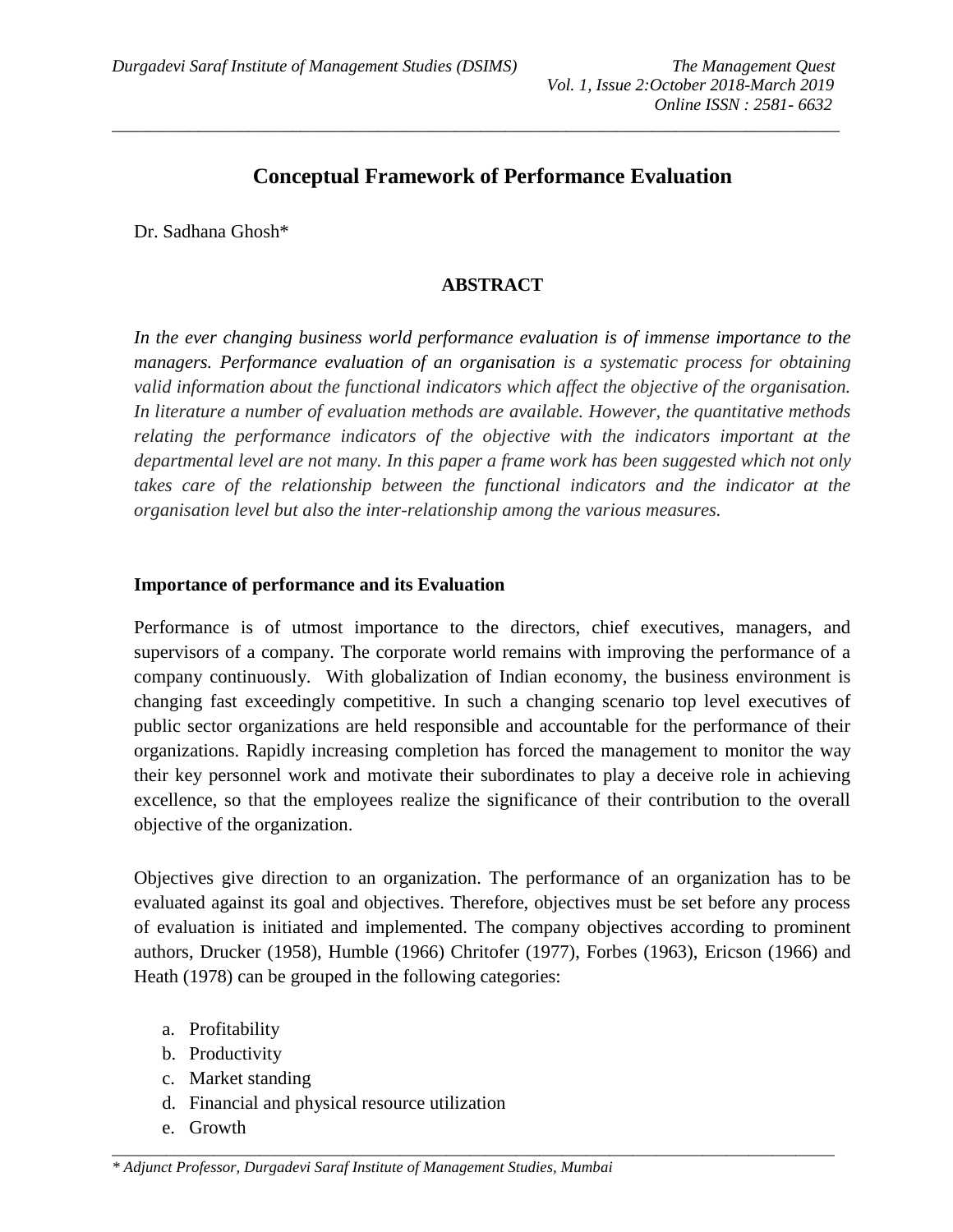# **Conceptual Framework of Performance Evaluation**

*\_\_\_\_\_\_\_\_\_\_\_\_\_\_\_\_\_\_\_\_\_\_\_\_\_\_\_\_\_\_\_\_\_\_\_\_\_\_\_\_\_\_\_\_\_\_\_\_\_\_\_\_\_\_\_\_\_\_\_\_\_\_\_\_\_\_\_\_\_\_\_\_\_\_\_\_\_\_\_\_\_\_\_\_\_*

Dr. Sadhana Ghosh\*

## **ABSTRACT**

*In the ever changing business world performance evaluation is of immense importance to the managers. Performance evaluation of an organisation is a systematic process for obtaining valid information about the functional indicators which affect the objective of the organisation. In literature a number of evaluation methods are available. However, the quantitative methods relating the performance indicators of the objective with the indicators important at the departmental level are not many. In this paper a frame work has been suggested which not only*  takes care of the relationship between the functional indicators and the indicator at the *organisation level but also the inter-relationship among the various measures.*

## **Importance of performance and its Evaluation**

Performance is of utmost importance to the directors, chief executives, managers, and supervisors of a company. The corporate world remains with improving the performance of a company continuously. With globalization of Indian economy, the business environment is changing fast exceedingly competitive. In such a changing scenario top level executives of public sector organizations are held responsible and accountable for the performance of their organizations. Rapidly increasing completion has forced the management to monitor the way their key personnel work and motivate their subordinates to play a deceive role in achieving excellence, so that the employees realize the significance of their contribution to the overall objective of the organization.

Objectives give direction to an organization. The performance of an organization has to be evaluated against its goal and objectives. Therefore, objectives must be set before any process of evaluation is initiated and implemented. The company objectives according to prominent authors, Drucker (1958), Humble (1966) Chritofer (1977), Forbes (1963), Ericson (1966) and Heath (1978) can be grouped in the following categories:

*\_\_\_\_\_\_\_\_\_\_\_\_\_\_\_\_\_\_\_\_\_\_\_\_\_\_\_\_\_\_\_\_\_\_\_\_\_\_\_\_\_\_\_\_\_\_\_\_\_\_\_\_\_\_\_\_\_\_\_\_\_\_\_\_\_\_\_\_\_\_\_\_\_\_\_\_\_\_\_\_\_\_\_\_\_\_\_\_\_\_\_\_\_*

- a. Profitability
- b. Productivity
- c. Market standing
- d. Financial and physical resource utilization
- e. Growth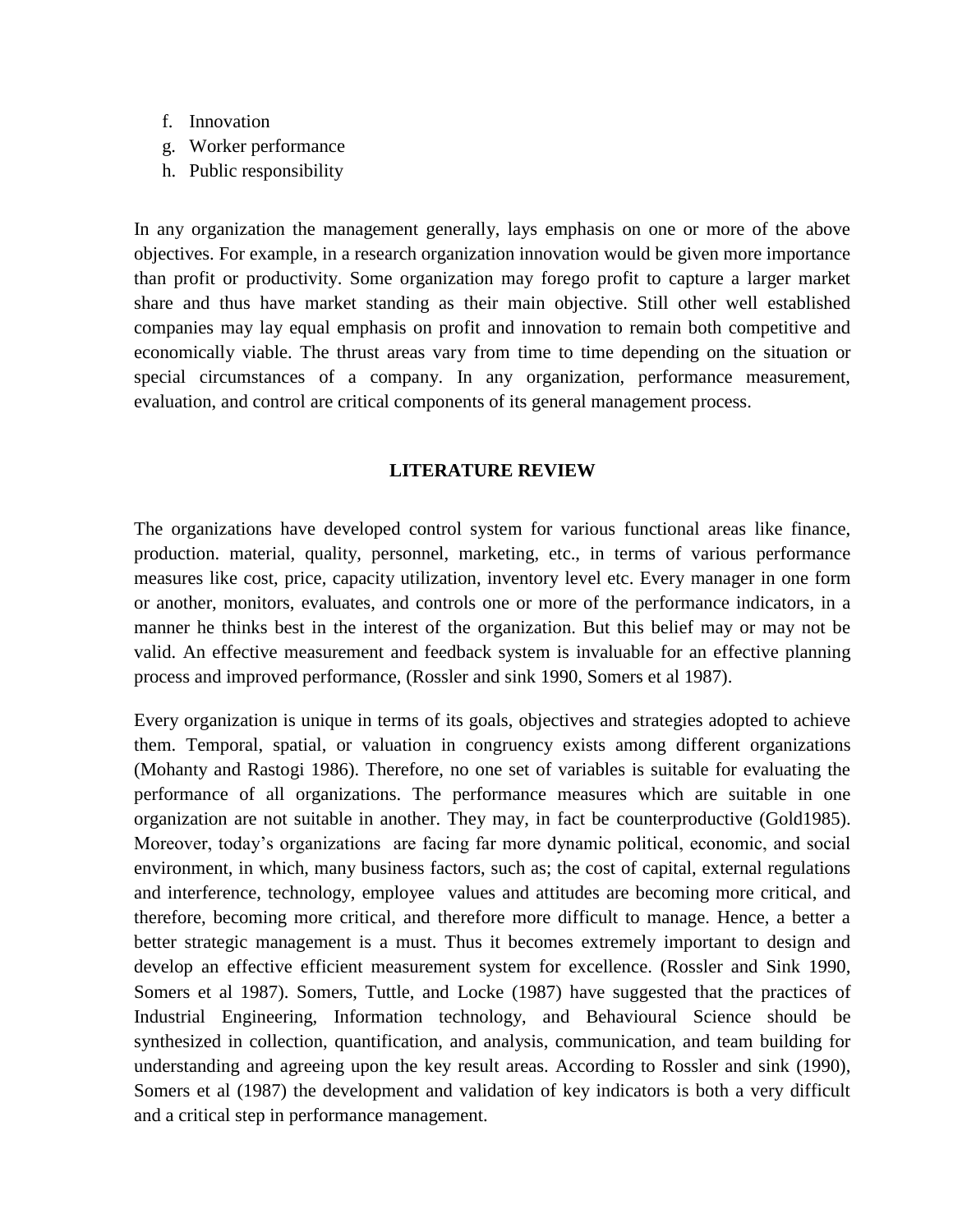- f. Innovation
- g. Worker performance
- h. Public responsibility

In any organization the management generally, lays emphasis on one or more of the above objectives. For example, in a research organization innovation would be given more importance than profit or productivity. Some organization may forego profit to capture a larger market share and thus have market standing as their main objective. Still other well established companies may lay equal emphasis on profit and innovation to remain both competitive and economically viable. The thrust areas vary from time to time depending on the situation or special circumstances of a company. In any organization, performance measurement, evaluation, and control are critical components of its general management process.

### **LITERATURE REVIEW**

The organizations have developed control system for various functional areas like finance, production. material, quality, personnel, marketing, etc., in terms of various performance measures like cost, price, capacity utilization, inventory level etc. Every manager in one form or another, monitors, evaluates, and controls one or more of the performance indicators, in a manner he thinks best in the interest of the organization. But this belief may or may not be valid. An effective measurement and feedback system is invaluable for an effective planning process and improved performance, (Rossler and sink 1990, Somers et al 1987).

Every organization is unique in terms of its goals, objectives and strategies adopted to achieve them. Temporal, spatial, or valuation in congruency exists among different organizations (Mohanty and Rastogi 1986). Therefore, no one set of variables is suitable for evaluating the performance of all organizations. The performance measures which are suitable in one organization are not suitable in another. They may, in fact be counterproductive (Gold1985). Moreover, today's organizations are facing far more dynamic political, economic, and social environment, in which, many business factors, such as; the cost of capital, external regulations and interference, technology, employee values and attitudes are becoming more critical, and therefore, becoming more critical, and therefore more difficult to manage. Hence, a better a better strategic management is a must. Thus it becomes extremely important to design and develop an effective efficient measurement system for excellence. (Rossler and Sink 1990, Somers et al 1987). Somers, Tuttle, and Locke (1987) have suggested that the practices of Industrial Engineering, Information technology, and Behavioural Science should be synthesized in collection, quantification, and analysis, communication, and team building for understanding and agreeing upon the key result areas. According to Rossler and sink (1990), Somers et al (1987) the development and validation of key indicators is both a very difficult and a critical step in performance management.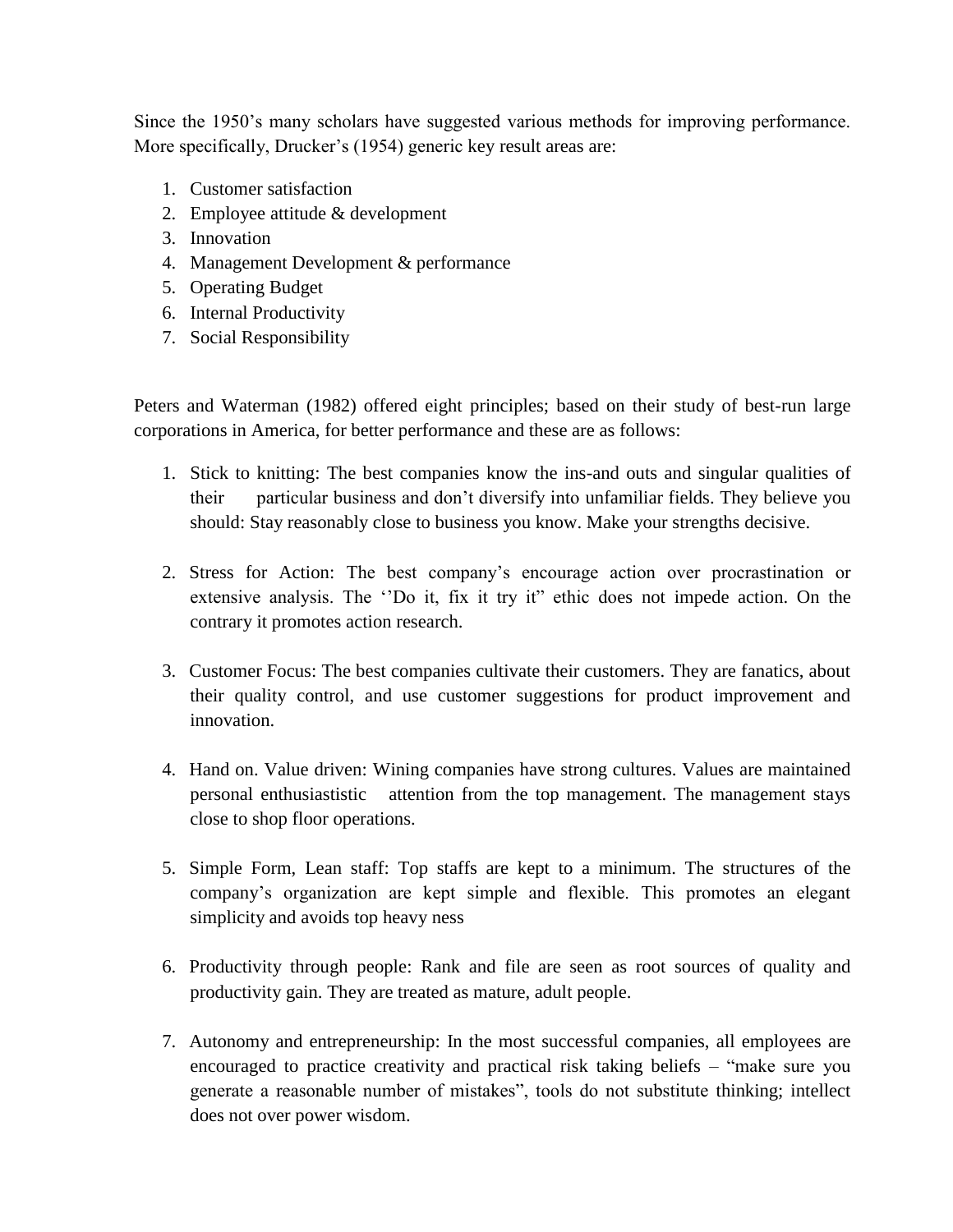Since the 1950's many scholars have suggested various methods for improving performance. More specifically, Drucker's (1954) generic key result areas are:

- 1. Customer satisfaction
- 2. Employee attitude & development
- 3. Innovation
- 4. Management Development & performance
- 5. Operating Budget
- 6. Internal Productivity
- 7. Social Responsibility

Peters and Waterman (1982) offered eight principles; based on their study of best-run large corporations in America, for better performance and these are as follows:

- 1. Stick to knitting: The best companies know the ins-and outs and singular qualities of their particular business and don't diversify into unfamiliar fields. They believe you should: Stay reasonably close to business you know. Make your strengths decisive.
- 2. Stress for Action: The best company's encourage action over procrastination or extensive analysis. The ''Do it, fix it try it" ethic does not impede action. On the contrary it promotes action research.
- 3. Customer Focus: The best companies cultivate their customers. They are fanatics, about their quality control, and use customer suggestions for product improvement and innovation.
- 4. Hand on. Value driven: Wining companies have strong cultures. Values are maintained personal enthusiastistic attention from the top management. The management stays close to shop floor operations.
- 5. Simple Form, Lean staff: Top staffs are kept to a minimum. The structures of the company's organization are kept simple and flexible. This promotes an elegant simplicity and avoids top heavy ness
- 6. Productivity through people: Rank and file are seen as root sources of quality and productivity gain. They are treated as mature, adult people.
- 7. Autonomy and entrepreneurship: In the most successful companies, all employees are encouraged to practice creativity and practical risk taking beliefs – "make sure you generate a reasonable number of mistakes", tools do not substitute thinking; intellect does not over power wisdom.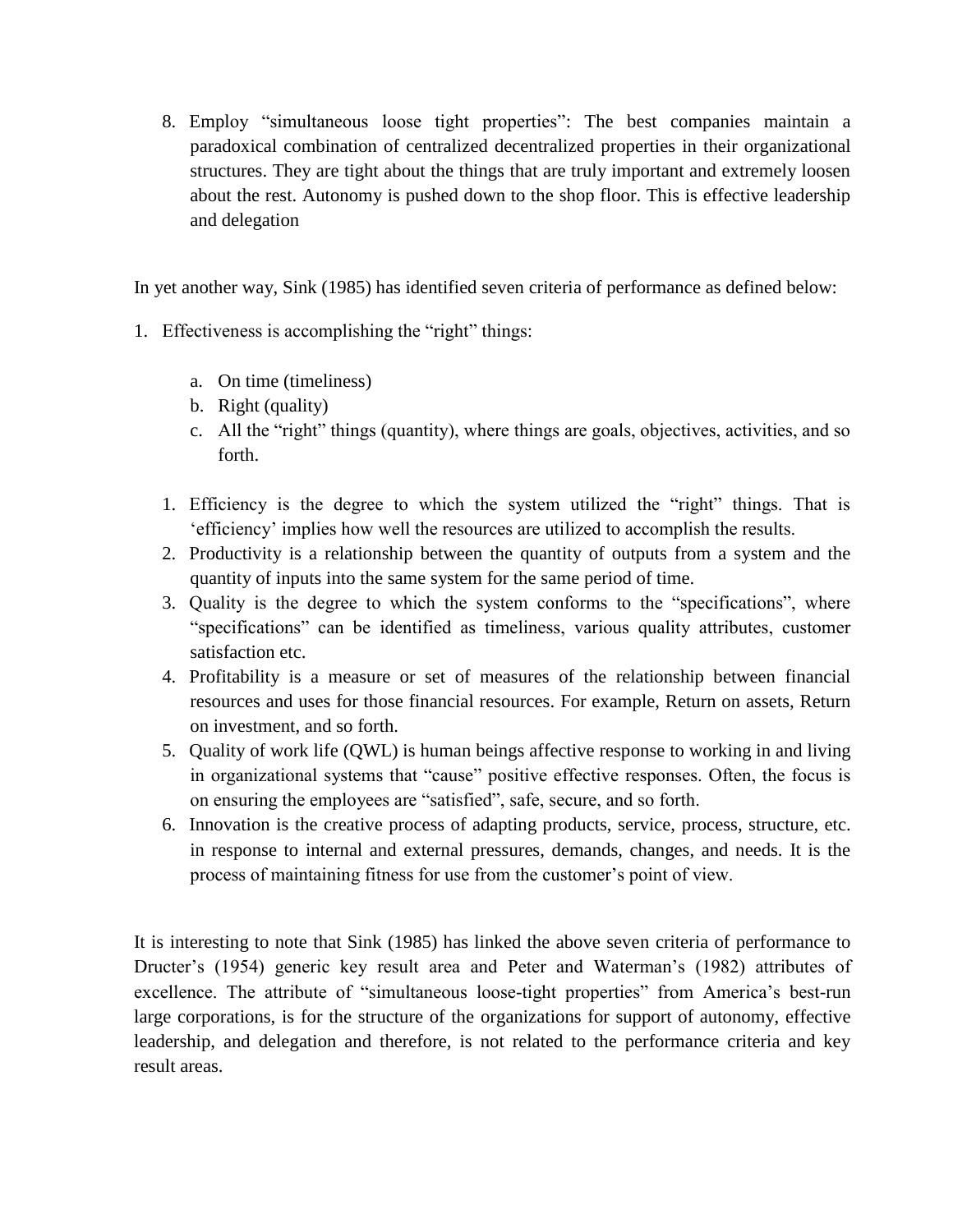8. Employ "simultaneous loose tight properties": The best companies maintain a paradoxical combination of centralized decentralized properties in their organizational structures. They are tight about the things that are truly important and extremely loosen about the rest. Autonomy is pushed down to the shop floor. This is effective leadership and delegation

In yet another way, Sink (1985) has identified seven criteria of performance as defined below:

- 1. Effectiveness is accomplishing the "right" things:
	- a. On time (timeliness)
	- b. Right (quality)
	- c. All the "right" things (quantity), where things are goals, objectives, activities, and so forth.
	- 1. Efficiency is the degree to which the system utilized the "right" things. That is 'efficiency' implies how well the resources are utilized to accomplish the results.
	- 2. Productivity is a relationship between the quantity of outputs from a system and the quantity of inputs into the same system for the same period of time.
	- 3. Quality is the degree to which the system conforms to the "specifications", where "specifications" can be identified as timeliness, various quality attributes, customer satisfaction etc.
	- 4. Profitability is a measure or set of measures of the relationship between financial resources and uses for those financial resources. For example, Return on assets, Return on investment, and so forth.
	- 5. Quality of work life (QWL) is human beings affective response to working in and living in organizational systems that "cause" positive effective responses. Often, the focus is on ensuring the employees are "satisfied", safe, secure, and so forth.
	- 6. Innovation is the creative process of adapting products, service, process, structure, etc. in response to internal and external pressures, demands, changes, and needs. It is the process of maintaining fitness for use from the customer's point of view.

It is interesting to note that Sink (1985) has linked the above seven criteria of performance to Dructer's (1954) generic key result area and Peter and Waterman's (1982) attributes of excellence. The attribute of "simultaneous loose-tight properties" from America's best-run large corporations, is for the structure of the organizations for support of autonomy, effective leadership, and delegation and therefore, is not related to the performance criteria and key result areas.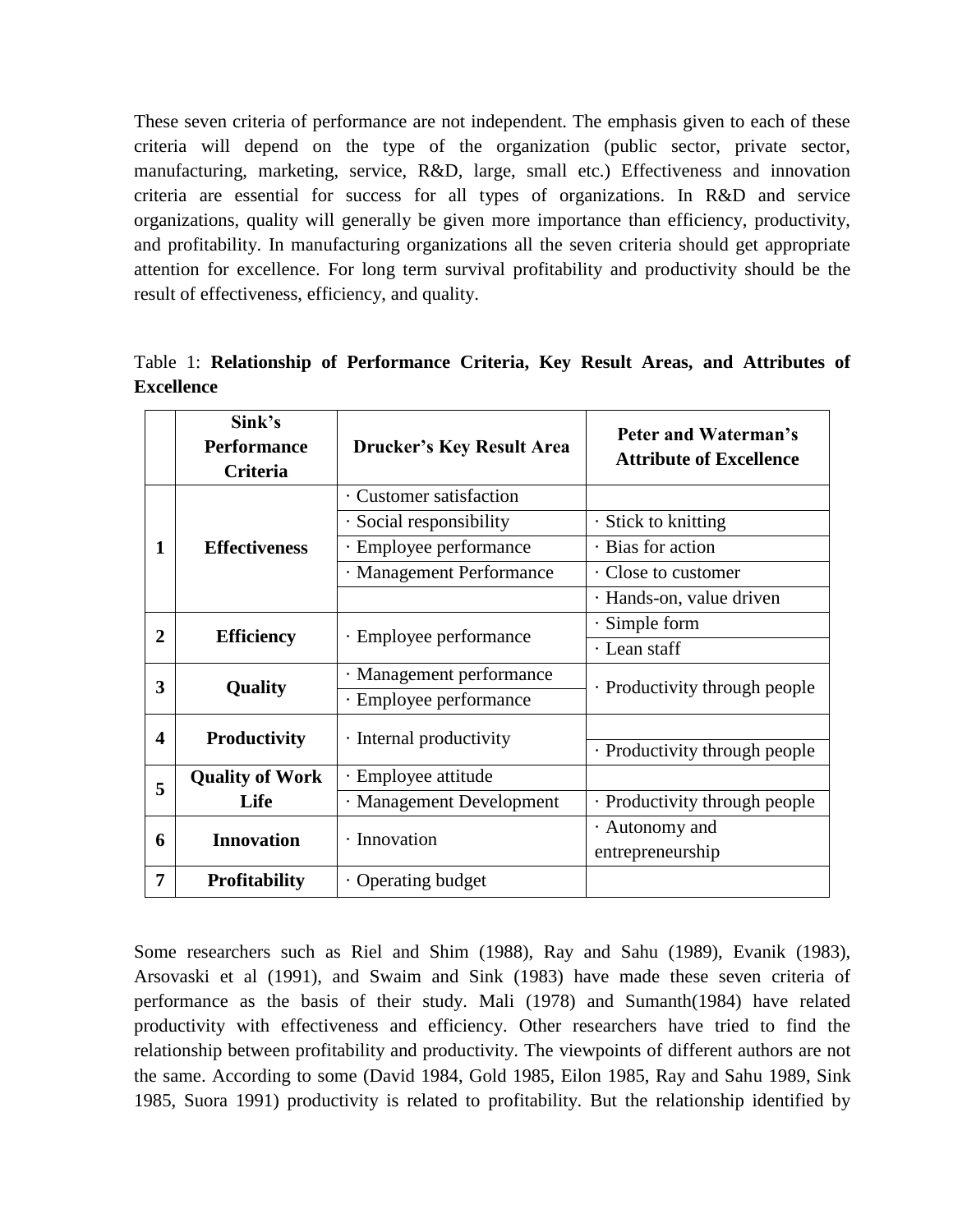These seven criteria of performance are not independent. The emphasis given to each of these criteria will depend on the type of the organization (public sector, private sector, manufacturing, marketing, service, R&D, large, small etc.) Effectiveness and innovation criteria are essential for success for all types of organizations. In R&D and service organizations, quality will generally be given more importance than efficiency, productivity, and profitability. In manufacturing organizations all the seven criteria should get appropriate attention for excellence. For long term survival profitability and productivity should be the result of effectiveness, efficiency, and quality.

|                   |  | Table 1: Relationship of Performance Criteria, Key Result Areas, and Attributes of |  |  |  |  |
|-------------------|--|------------------------------------------------------------------------------------|--|--|--|--|
| <b>Excellence</b> |  |                                                                                    |  |  |  |  |

|                         | Sink's<br><b>Performance</b><br>Criteria | <b>Drucker's Key Result Area</b> | Peter and Waterman's<br><b>Attribute of Excellence</b> |  |  |
|-------------------------|------------------------------------------|----------------------------------|--------------------------------------------------------|--|--|
|                         |                                          | · Customer satisfaction          |                                                        |  |  |
|                         |                                          | $\cdot$ Social responsibility    | $\cdot$ Stick to knitting                              |  |  |
| 1                       | <b>Effectiveness</b>                     | · Employee performance           | · Bias for action                                      |  |  |
|                         |                                          | · Management Performance         | Close to customer                                      |  |  |
|                         |                                          |                                  | · Hands-on, value driven                               |  |  |
| $\overline{2}$          |                                          |                                  | Simple form                                            |  |  |
|                         | <b>Efficiency</b>                        | · Employee performance           | · Lean staff                                           |  |  |
| 3                       |                                          | · Management performance         |                                                        |  |  |
|                         | Quality                                  | · Employee performance           | · Productivity through people                          |  |  |
| $\overline{\mathbf{4}}$ |                                          | · Internal productivity          |                                                        |  |  |
|                         | <b>Productivity</b>                      |                                  | · Productivity through people                          |  |  |
| 5                       | <b>Quality of Work</b>                   | · Employee attitude              |                                                        |  |  |
|                         | Life                                     | · Management Development         | · Productivity through people                          |  |  |
| 6                       | <b>Innovation</b>                        | · Innovation                     | · Autonomy and                                         |  |  |
|                         |                                          |                                  | entrepreneurship                                       |  |  |
| 7                       | <b>Profitability</b>                     | • Operating budget               |                                                        |  |  |

Some researchers such as Riel and Shim (1988), Ray and Sahu (1989), Evanik (1983), Arsovaski et al (1991), and Swaim and Sink (1983) have made these seven criteria of performance as the basis of their study. Mali (1978) and Sumanth(1984) have related productivity with effectiveness and efficiency. Other researchers have tried to find the relationship between profitability and productivity. The viewpoints of different authors are not the same. According to some (David 1984, Gold 1985, Eilon 1985, Ray and Sahu 1989, Sink 1985, Suora 1991) productivity is related to profitability. But the relationship identified by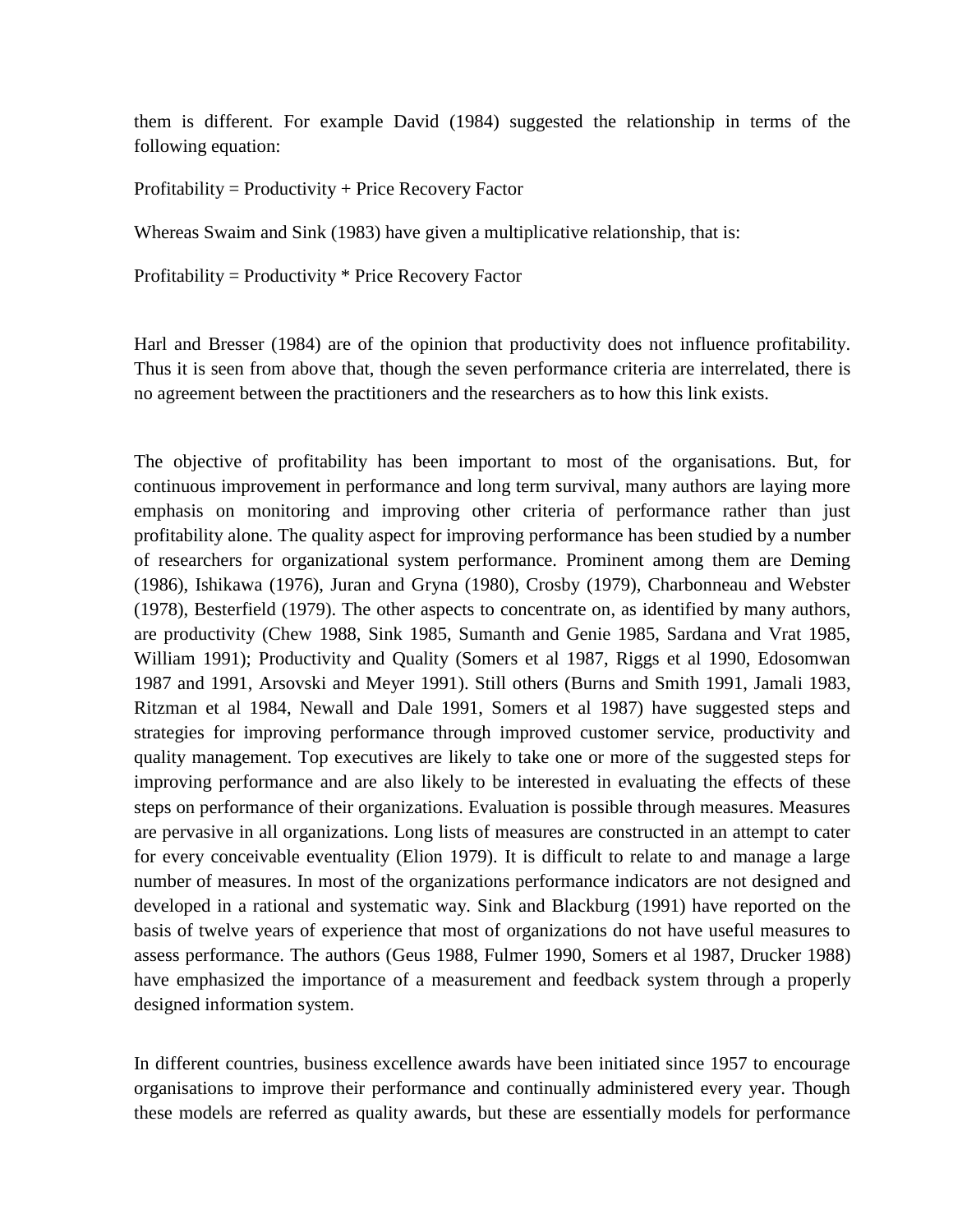them is different. For example David (1984) suggested the relationship in terms of the following equation:

Profitability = Productivity + Price Recovery Factor

Whereas Swaim and Sink (1983) have given a multiplicative relationship, that is:

Profitability = Productivity \* Price Recovery Factor

Harl and Bresser (1984) are of the opinion that productivity does not influence profitability. Thus it is seen from above that, though the seven performance criteria are interrelated, there is no agreement between the practitioners and the researchers as to how this link exists.

The objective of profitability has been important to most of the organisations. But, for continuous improvement in performance and long term survival, many authors are laying more emphasis on monitoring and improving other criteria of performance rather than just profitability alone. The quality aspect for improving performance has been studied by a number of researchers for organizational system performance. Prominent among them are Deming (1986), Ishikawa (1976), Juran and Gryna (1980), Crosby (1979), Charbonneau and Webster (1978), Besterfield (1979). The other aspects to concentrate on, as identified by many authors, are productivity (Chew 1988, Sink 1985, Sumanth and Genie 1985, Sardana and Vrat 1985, William 1991); Productivity and Quality (Somers et al 1987, Riggs et al 1990, Edosomwan 1987 and 1991, Arsovski and Meyer 1991). Still others (Burns and Smith 1991, Jamali 1983, Ritzman et al 1984, Newall and Dale 1991, Somers et al 1987) have suggested steps and strategies for improving performance through improved customer service, productivity and quality management. Top executives are likely to take one or more of the suggested steps for improving performance and are also likely to be interested in evaluating the effects of these steps on performance of their organizations. Evaluation is possible through measures. Measures are pervasive in all organizations. Long lists of measures are constructed in an attempt to cater for every conceivable eventuality (Elion 1979). It is difficult to relate to and manage a large number of measures. In most of the organizations performance indicators are not designed and developed in a rational and systematic way. Sink and Blackburg (1991) have reported on the basis of twelve years of experience that most of organizations do not have useful measures to assess performance. The authors (Geus 1988, Fulmer 1990, Somers et al 1987, Drucker 1988) have emphasized the importance of a measurement and feedback system through a properly designed information system.

In different countries, business excellence awards have been initiated since 1957 to encourage organisations to improve their performance and continually administered every year. Though these models are referred as quality awards, but these are essentially models for performance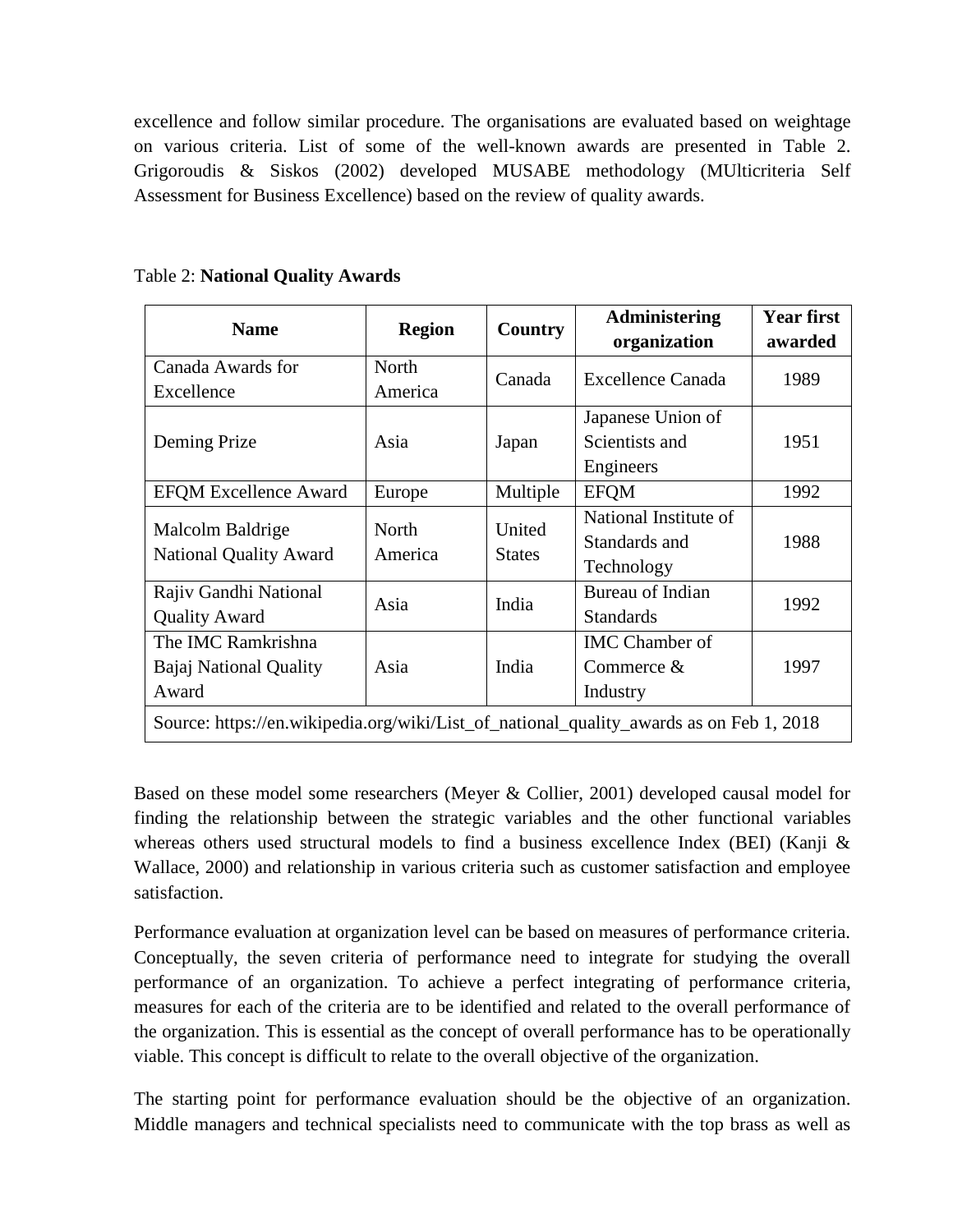excellence and follow similar procedure. The organisations are evaluated based on weightage on various criteria. List of some of the well-known awards are presented in Table 2. Grigoroudis & Siskos (2002) developed MUSABE methodology (MUlticriteria Self Assessment for Business Excellence) based on the review of quality awards.

| <b>Name</b>                                                                             | <b>Region</b>    | <b>Country</b>          | <b>Administering</b>    | <b>Year first</b> |  |
|-----------------------------------------------------------------------------------------|------------------|-------------------------|-------------------------|-------------------|--|
|                                                                                         |                  |                         | organization            | awarded           |  |
| Canada Awards for                                                                       | North            | Canada                  | Excellence Canada       | 1989              |  |
| Excellence                                                                              | America          |                         |                         |                   |  |
|                                                                                         |                  |                         | Japanese Union of       |                   |  |
| Deming Prize                                                                            | Asia             | Japan                   | Scientists and          | 1951              |  |
|                                                                                         |                  |                         | Engineers               |                   |  |
| <b>EFQM Excellence Award</b>                                                            | Europe           | <b>EFQM</b><br>Multiple |                         | 1992              |  |
|                                                                                         |                  | United                  | National Institute of   |                   |  |
| Malcolm Baldrige                                                                        | North<br>America | <b>States</b>           | Standards and           | 1988              |  |
| <b>National Quality Award</b>                                                           |                  |                         | Technology              |                   |  |
| Rajiv Gandhi National                                                                   |                  |                         | <b>Bureau of Indian</b> |                   |  |
| <b>Quality Award</b>                                                                    | Asia             | India                   | <b>Standards</b>        | 1992              |  |
| The IMC Ramkrishna                                                                      |                  |                         | <b>IMC</b> Chamber of   |                   |  |
| <b>Bajaj National Quality</b>                                                           | Asia             | India                   | Commerce $&$            | 1997              |  |
| Award                                                                                   |                  |                         | Industry                |                   |  |
| Source: https://en.wikipedia.org/wiki/List_of_national_quality_awards as on Feb 1, 2018 |                  |                         |                         |                   |  |

Table 2: **National Quality Awards**

Based on these model some researchers (Meyer & Collier, 2001) developed causal model for finding the relationship between the strategic variables and the other functional variables whereas others used structural models to find a business excellence Index (BEI) (Kanji & Wallace, 2000) and relationship in various criteria such as customer satisfaction and employee satisfaction.

Performance evaluation at organization level can be based on measures of performance criteria. Conceptually, the seven criteria of performance need to integrate for studying the overall performance of an organization. To achieve a perfect integrating of performance criteria, measures for each of the criteria are to be identified and related to the overall performance of the organization. This is essential as the concept of overall performance has to be operationally viable. This concept is difficult to relate to the overall objective of the organization.

The starting point for performance evaluation should be the objective of an organization. Middle managers and technical specialists need to communicate with the top brass as well as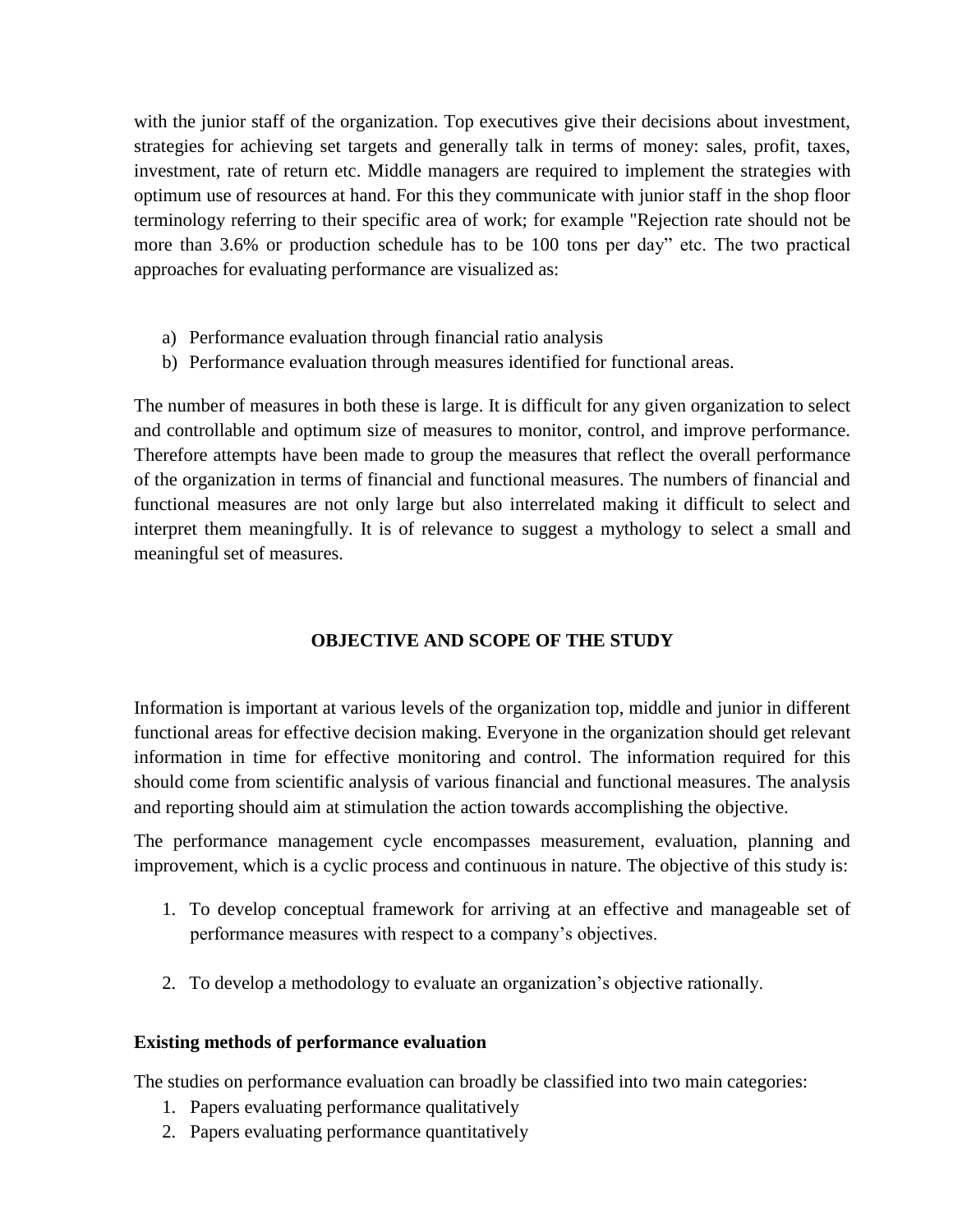with the junior staff of the organization. Top executives give their decisions about investment, strategies for achieving set targets and generally talk in terms of money: sales, profit, taxes, investment, rate of return etc. Middle managers are required to implement the strategies with optimum use of resources at hand. For this they communicate with junior staff in the shop floor terminology referring to their specific area of work; for example "Rejection rate should not be more than 3.6% or production schedule has to be 100 tons per day" etc. The two practical approaches for evaluating performance are visualized as:

- a) Performance evaluation through financial ratio analysis
- b) Performance evaluation through measures identified for functional areas.

The number of measures in both these is large. It is difficult for any given organization to select and controllable and optimum size of measures to monitor, control, and improve performance. Therefore attempts have been made to group the measures that reflect the overall performance of the organization in terms of financial and functional measures. The numbers of financial and functional measures are not only large but also interrelated making it difficult to select and interpret them meaningfully. It is of relevance to suggest a mythology to select a small and meaningful set of measures.

## **OBJECTIVE AND SCOPE OF THE STUDY**

Information is important at various levels of the organization top, middle and junior in different functional areas for effective decision making. Everyone in the organization should get relevant information in time for effective monitoring and control. The information required for this should come from scientific analysis of various financial and functional measures. The analysis and reporting should aim at stimulation the action towards accomplishing the objective.

The performance management cycle encompasses measurement, evaluation, planning and improvement, which is a cyclic process and continuous in nature. The objective of this study is:

- 1. To develop conceptual framework for arriving at an effective and manageable set of performance measures with respect to a company's objectives.
- 2. To develop a methodology to evaluate an organization's objective rationally.

## **Existing methods of performance evaluation**

The studies on performance evaluation can broadly be classified into two main categories:

- 1. Papers evaluating performance qualitatively
- 2. Papers evaluating performance quantitatively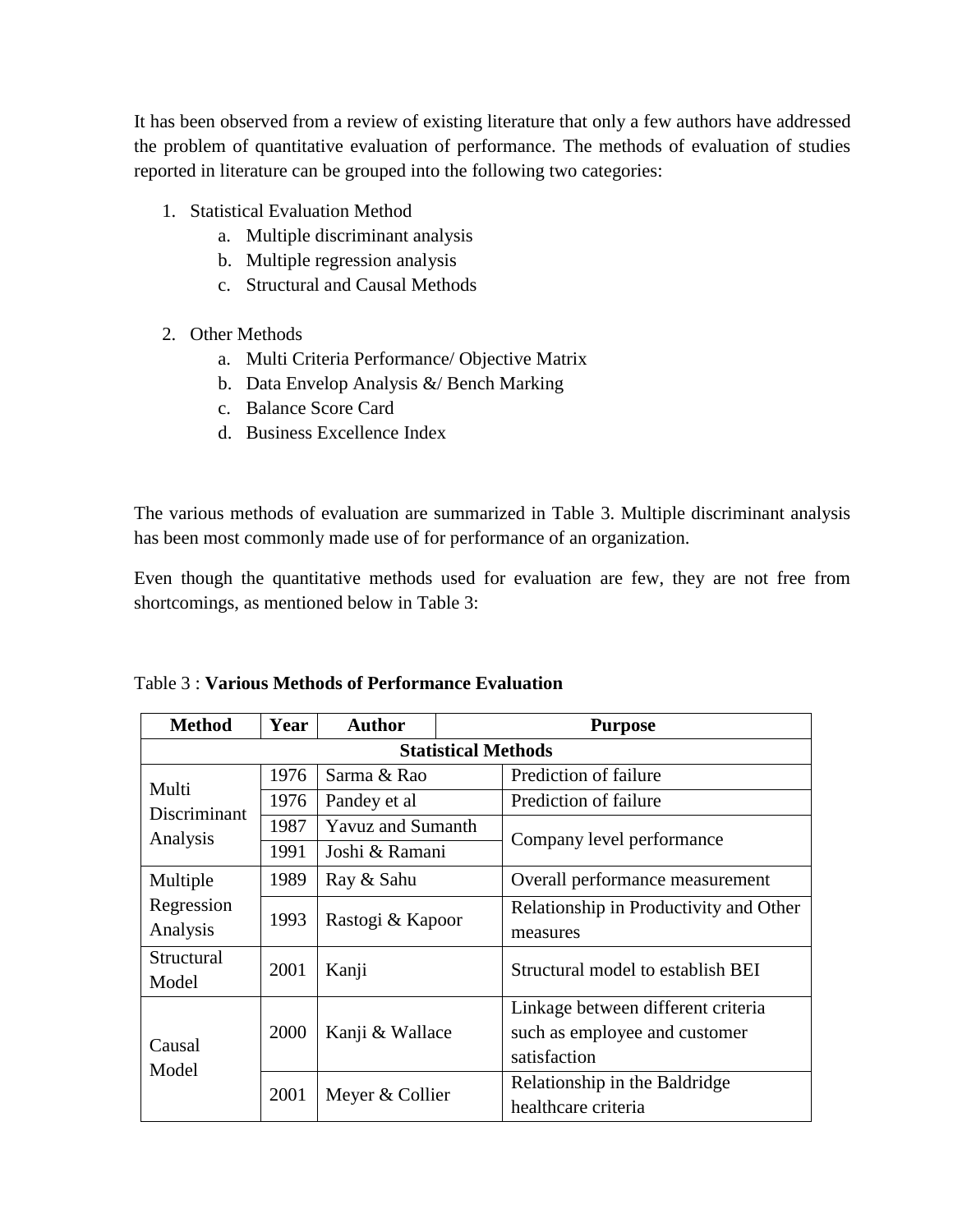It has been observed from a review of existing literature that only a few authors have addressed the problem of quantitative evaluation of performance. The methods of evaluation of studies reported in literature can be grouped into the following two categories:

- 1. Statistical Evaluation Method
	- a. Multiple discriminant analysis
	- b. Multiple regression analysis
	- c. Structural and Causal Methods
- 2. Other Methods
	- a. Multi Criteria Performance/ Objective Matrix
	- b. Data Envelop Analysis &/ Bench Marking
	- c. Balance Score Card
	- d. Business Excellence Index

The various methods of evaluation are summarized in Table 3. Multiple discriminant analysis has been most commonly made use of for performance of an organization.

Even though the quantitative methods used for evaluation are few, they are not free from shortcomings, as mentioned below in Table 3:

| <b>Method</b>              | Year | <b>Author</b>               | <b>Purpose</b> |                                        |  |  |
|----------------------------|------|-----------------------------|----------------|----------------------------------------|--|--|
| <b>Statistical Methods</b> |      |                             |                |                                        |  |  |
| Multi                      | 1976 | Sarma & Rao<br>Pandey et al |                | Prediction of failure                  |  |  |
| Discriminant               | 1976 |                             |                | Prediction of failure                  |  |  |
| Analysis                   | 1987 | <b>Yavuz and Sumanth</b>    |                |                                        |  |  |
|                            | 1991 | Joshi & Ramani              |                | Company level performance              |  |  |
| Multiple                   | 1989 | Ray & Sahu                  |                | Overall performance measurement        |  |  |
| Regression                 | 1993 | Rastogi & Kapoor            |                | Relationship in Productivity and Other |  |  |
| Analysis                   |      |                             |                | measures                               |  |  |
| Structural                 | 2001 | Kanji                       |                | Structural model to establish BEI      |  |  |
| Model                      |      |                             |                |                                        |  |  |
|                            |      | Kanji & Wallace             |                | Linkage between different criteria     |  |  |
| Causal                     | 2000 |                             |                | such as employee and customer          |  |  |
| Model                      |      |                             |                | satisfaction                           |  |  |
|                            | 2001 | Meyer & Collier             |                | Relationship in the Baldridge          |  |  |
|                            |      |                             |                | healthcare criteria                    |  |  |

Table 3 : **Various Methods of Performance Evaluation**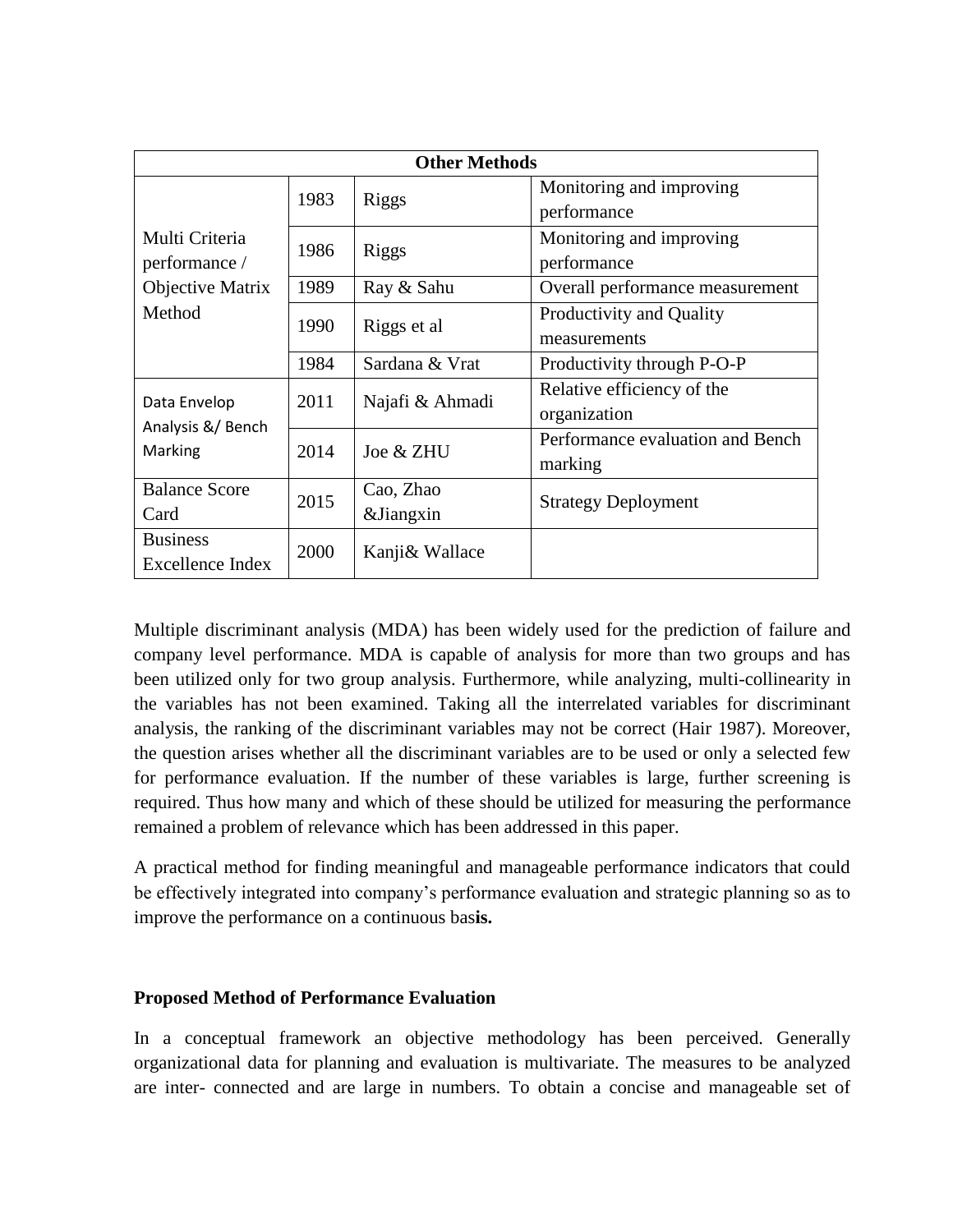| <b>Other Methods</b>    |      |                 |                                  |  |  |
|-------------------------|------|-----------------|----------------------------------|--|--|
|                         | 1983 | Riggs           | Monitoring and improving         |  |  |
|                         |      |                 | performance                      |  |  |
| Multi Criteria          | 1986 | Riggs           | Monitoring and improving         |  |  |
| performance /           |      |                 | performance                      |  |  |
| Objective Matrix        | 1989 | Ray & Sahu      | Overall performance measurement  |  |  |
| Method                  | 1990 | Riggs et al     | Productivity and Quality         |  |  |
|                         |      |                 | measurements                     |  |  |
|                         | 1984 | Sardana & Vrat  | Productivity through P-O-P       |  |  |
| Data Envelop            | 2011 | Najafi & Ahmadi | Relative efficiency of the       |  |  |
| Analysis &/ Bench       |      |                 | organization                     |  |  |
| Marking                 | 2014 | Joe & ZHU       | Performance evaluation and Bench |  |  |
|                         |      |                 | marking                          |  |  |
| <b>Balance Score</b>    | 2015 | Cao, Zhao       | <b>Strategy Deployment</b>       |  |  |
| Card                    |      | &Jiangxin       |                                  |  |  |
| <b>Business</b>         | 2000 | Kanji & Wallace |                                  |  |  |
| <b>Excellence Index</b> |      |                 |                                  |  |  |

Multiple discriminant analysis (MDA) has been widely used for the prediction of failure and company level performance. MDA is capable of analysis for more than two groups and has been utilized only for two group analysis. Furthermore, while analyzing, multi-collinearity in the variables has not been examined. Taking all the interrelated variables for discriminant analysis, the ranking of the discriminant variables may not be correct (Hair 1987). Moreover, the question arises whether all the discriminant variables are to be used or only a selected few for performance evaluation. If the number of these variables is large, further screening is required. Thus how many and which of these should be utilized for measuring the performance remained a problem of relevance which has been addressed in this paper.

A practical method for finding meaningful and manageable performance indicators that could be effectively integrated into company's performance evaluation and strategic planning so as to improve the performance on a continuous bas**is.**

## **Proposed Method of Performance Evaluation**

In a conceptual framework an objective methodology has been perceived. Generally organizational data for planning and evaluation is multivariate. The measures to be analyzed are inter- connected and are large in numbers. To obtain a concise and manageable set of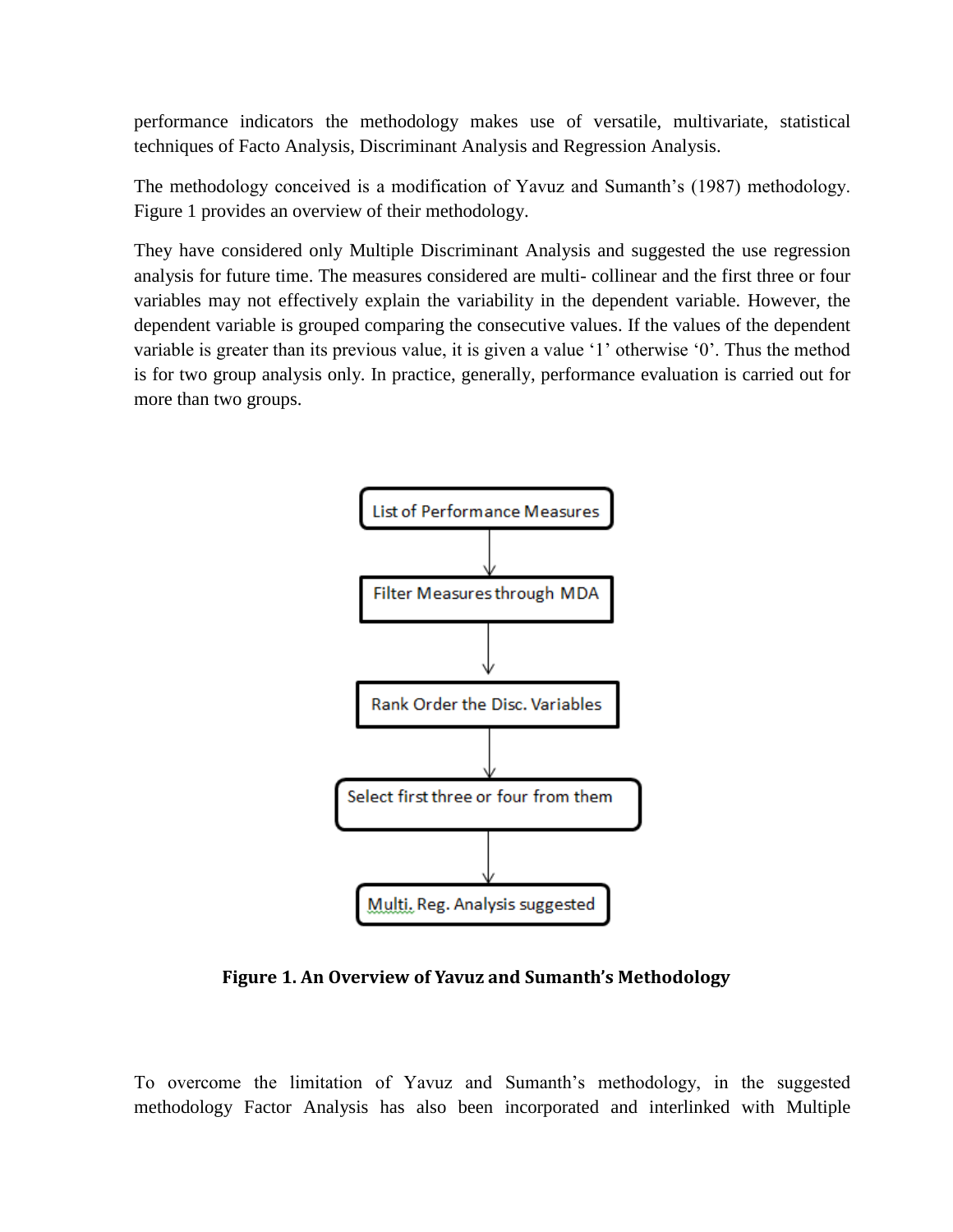performance indicators the methodology makes use of versatile, multivariate, statistical techniques of Facto Analysis, Discriminant Analysis and Regression Analysis.

The methodology conceived is a modification of Yavuz and Sumanth's (1987) methodology. Figure 1 provides an overview of their methodology.

They have considered only Multiple Discriminant Analysis and suggested the use regression analysis for future time. The measures considered are multi- collinear and the first three or four variables may not effectively explain the variability in the dependent variable. However, the dependent variable is grouped comparing the consecutive values. If the values of the dependent variable is greater than its previous value, it is given a value '1' otherwise '0'. Thus the method is for two group analysis only. In practice, generally, performance evaluation is carried out for more than two groups.



**Figure 1. An Overview of Yavuz and Sumanth's Methodology**

To overcome the limitation of Yavuz and Sumanth's methodology, in the suggested methodology Factor Analysis has also been incorporated and interlinked with Multiple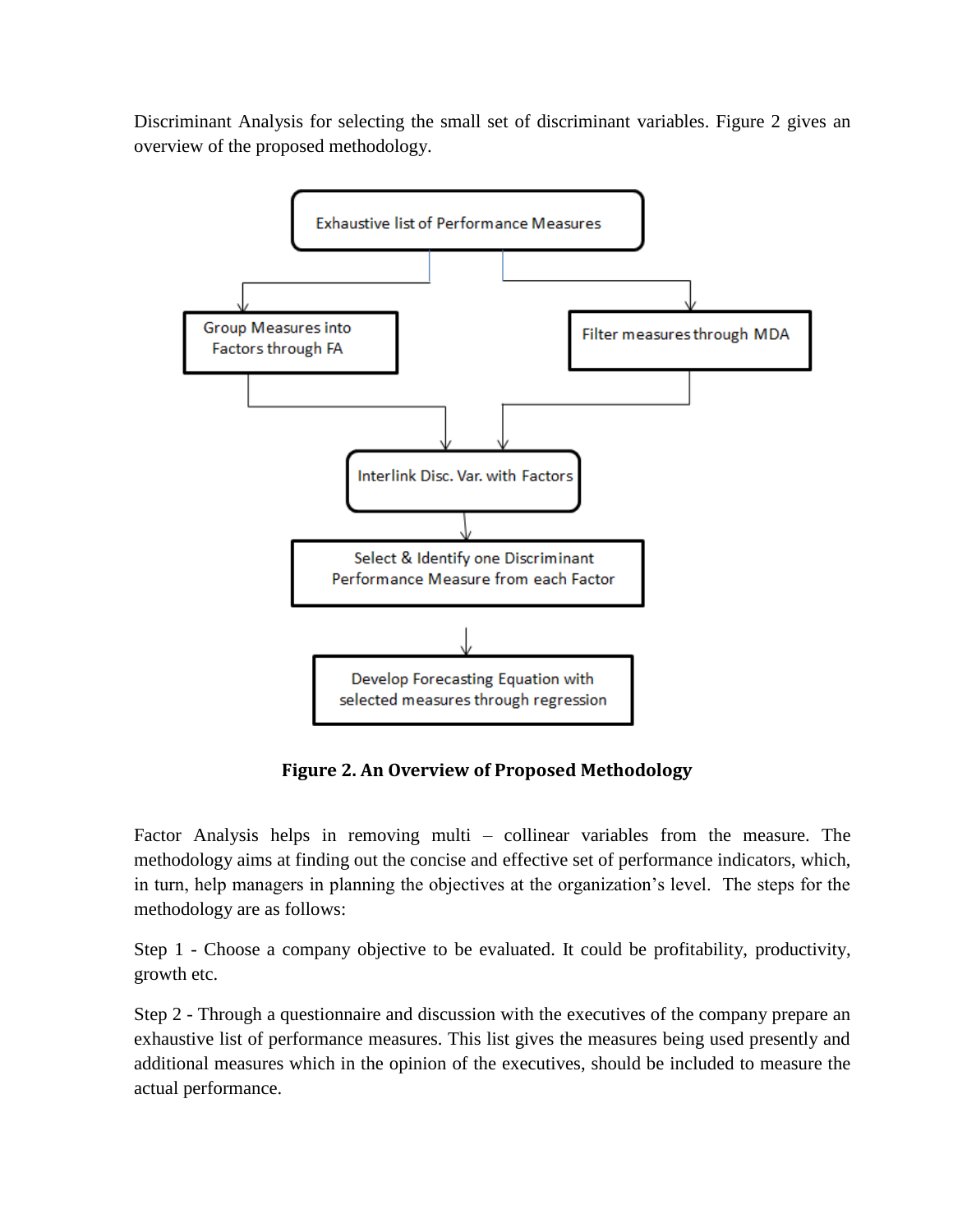Discriminant Analysis for selecting the small set of discriminant variables. Figure 2 gives an overview of the proposed methodology.



**Figure 2. An Overview of Proposed Methodology**

Factor Analysis helps in removing multi – collinear variables from the measure. The methodology aims at finding out the concise and effective set of performance indicators, which, in turn, help managers in planning the objectives at the organization's level. The steps for the methodology are as follows:

Step 1 - Choose a company objective to be evaluated. It could be profitability, productivity, growth etc.

Step 2 - Through a questionnaire and discussion with the executives of the company prepare an exhaustive list of performance measures. This list gives the measures being used presently and additional measures which in the opinion of the executives, should be included to measure the actual performance.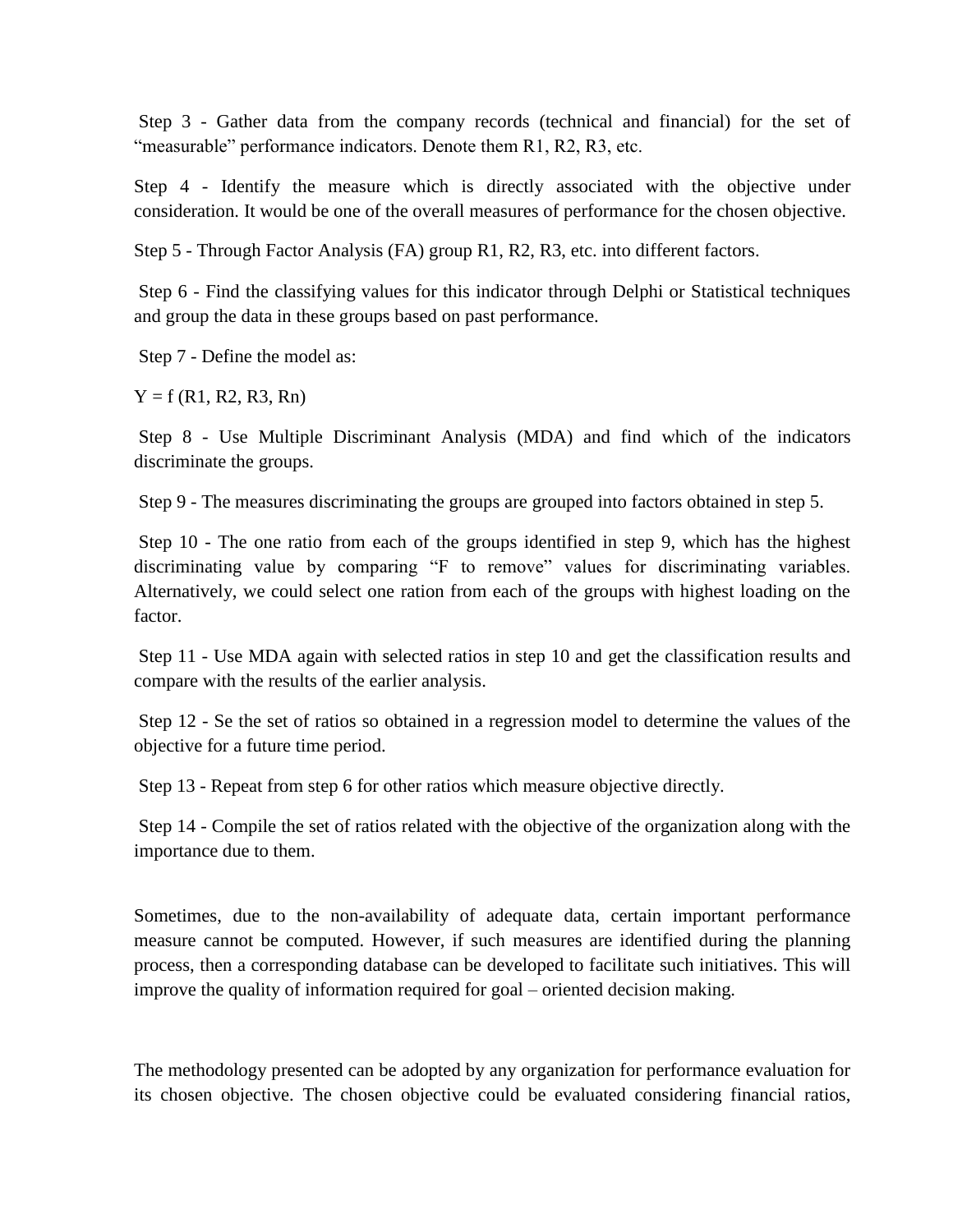Step 3 - Gather data from the company records (technical and financial) for the set of "measurable" performance indicators. Denote them R1, R2, R3, etc.

Step 4 - Identify the measure which is directly associated with the objective under consideration. It would be one of the overall measures of performance for the chosen objective.

Step 5 - Through Factor Analysis (FA) group R1, R2, R3, etc. into different factors.

Step 6 - Find the classifying values for this indicator through Delphi or Statistical techniques and group the data in these groups based on past performance.

Step 7 - Define the model as:

 $Y = f (R1, R2, R3, Rn)$ 

Step 8 - Use Multiple Discriminant Analysis (MDA) and find which of the indicators discriminate the groups.

Step 9 - The measures discriminating the groups are grouped into factors obtained in step 5.

Step 10 - The one ratio from each of the groups identified in step 9, which has the highest discriminating value by comparing "F to remove" values for discriminating variables. Alternatively, we could select one ration from each of the groups with highest loading on the factor.

Step 11 - Use MDA again with selected ratios in step 10 and get the classification results and compare with the results of the earlier analysis.

Step 12 - Se the set of ratios so obtained in a regression model to determine the values of the objective for a future time period.

Step 13 - Repeat from step 6 for other ratios which measure objective directly.

Step 14 - Compile the set of ratios related with the objective of the organization along with the importance due to them.

Sometimes, due to the non-availability of adequate data, certain important performance measure cannot be computed. However, if such measures are identified during the planning process, then a corresponding database can be developed to facilitate such initiatives. This will improve the quality of information required for goal – oriented decision making.

The methodology presented can be adopted by any organization for performance evaluation for its chosen objective. The chosen objective could be evaluated considering financial ratios,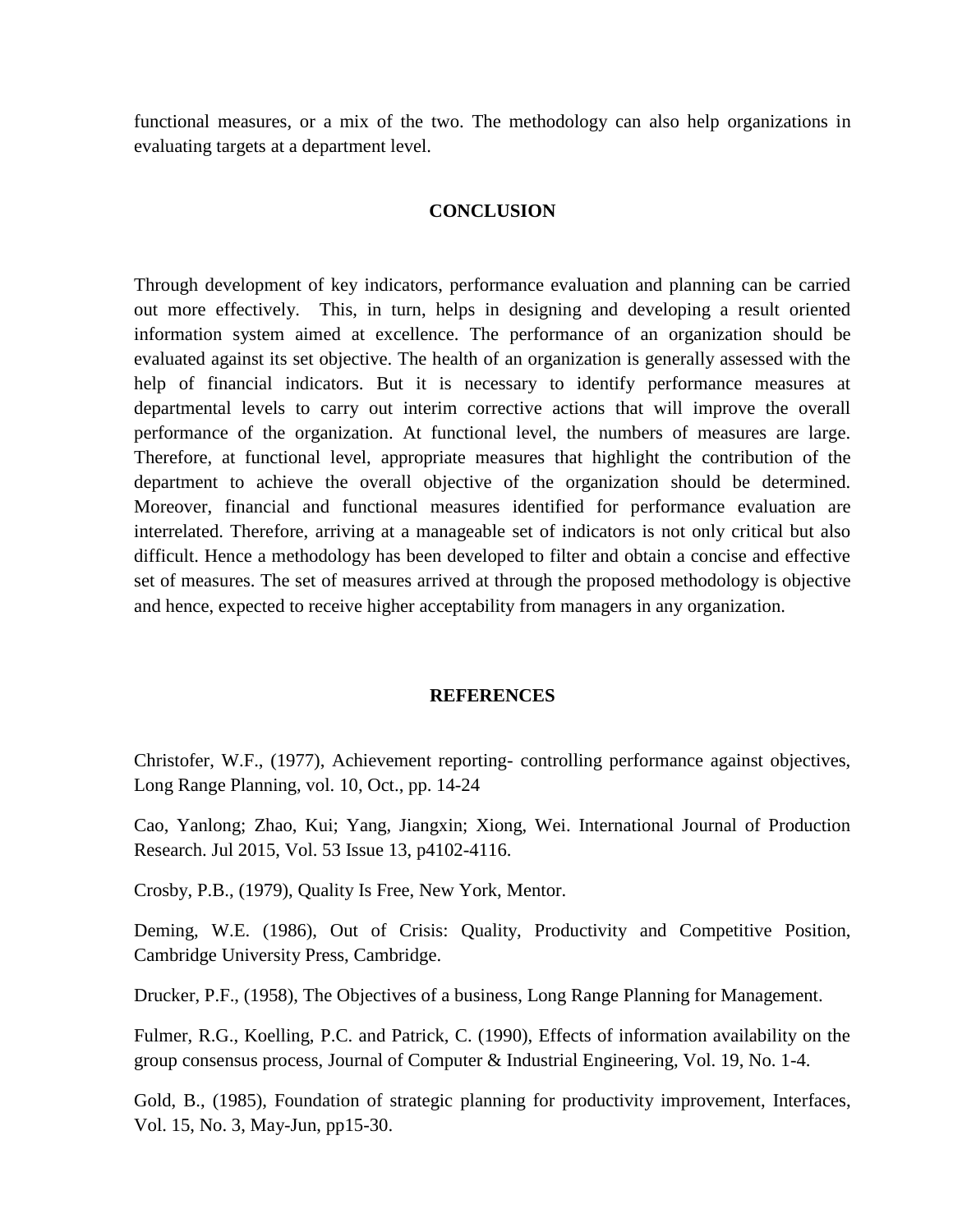functional measures, or a mix of the two. The methodology can also help organizations in evaluating targets at a department level.

### **CONCLUSION**

Through development of key indicators, performance evaluation and planning can be carried out more effectively. This, in turn, helps in designing and developing a result oriented information system aimed at excellence. The performance of an organization should be evaluated against its set objective. The health of an organization is generally assessed with the help of financial indicators. But it is necessary to identify performance measures at departmental levels to carry out interim corrective actions that will improve the overall performance of the organization. At functional level, the numbers of measures are large. Therefore, at functional level, appropriate measures that highlight the contribution of the department to achieve the overall objective of the organization should be determined. Moreover, financial and functional measures identified for performance evaluation are interrelated. Therefore, arriving at a manageable set of indicators is not only critical but also difficult. Hence a methodology has been developed to filter and obtain a concise and effective set of measures. The set of measures arrived at through the proposed methodology is objective and hence, expected to receive higher acceptability from managers in any organization.

#### **REFERENCES**

Christofer, W.F., (1977), Achievement reporting- controlling performance against objectives, Long Range Planning, vol. 10, Oct., pp. 14-24

Cao, Yanlong; Zhao, Kui; Yang, Jiangxin; Xiong, Wei. International Journal of Production Research. Jul 2015, Vol. 53 Issue 13, p4102-4116.

Crosby, P.B., (1979), Quality Is Free, New York, Mentor.

Deming, W.E. (1986), Out of Crisis: Quality, Productivity and Competitive Position, Cambridge University Press, Cambridge.

Drucker, P.F., (1958), The Objectives of a business, Long Range Planning for Management.

Fulmer, R.G., Koelling, P.C. and Patrick, C. (1990), Effects of information availability on the group consensus process, Journal of Computer & Industrial Engineering, Vol. 19, No. 1-4.

Gold, B., (1985), Foundation of strategic planning for productivity improvement, Interfaces, Vol. 15, No. 3, May-Jun, pp15-30.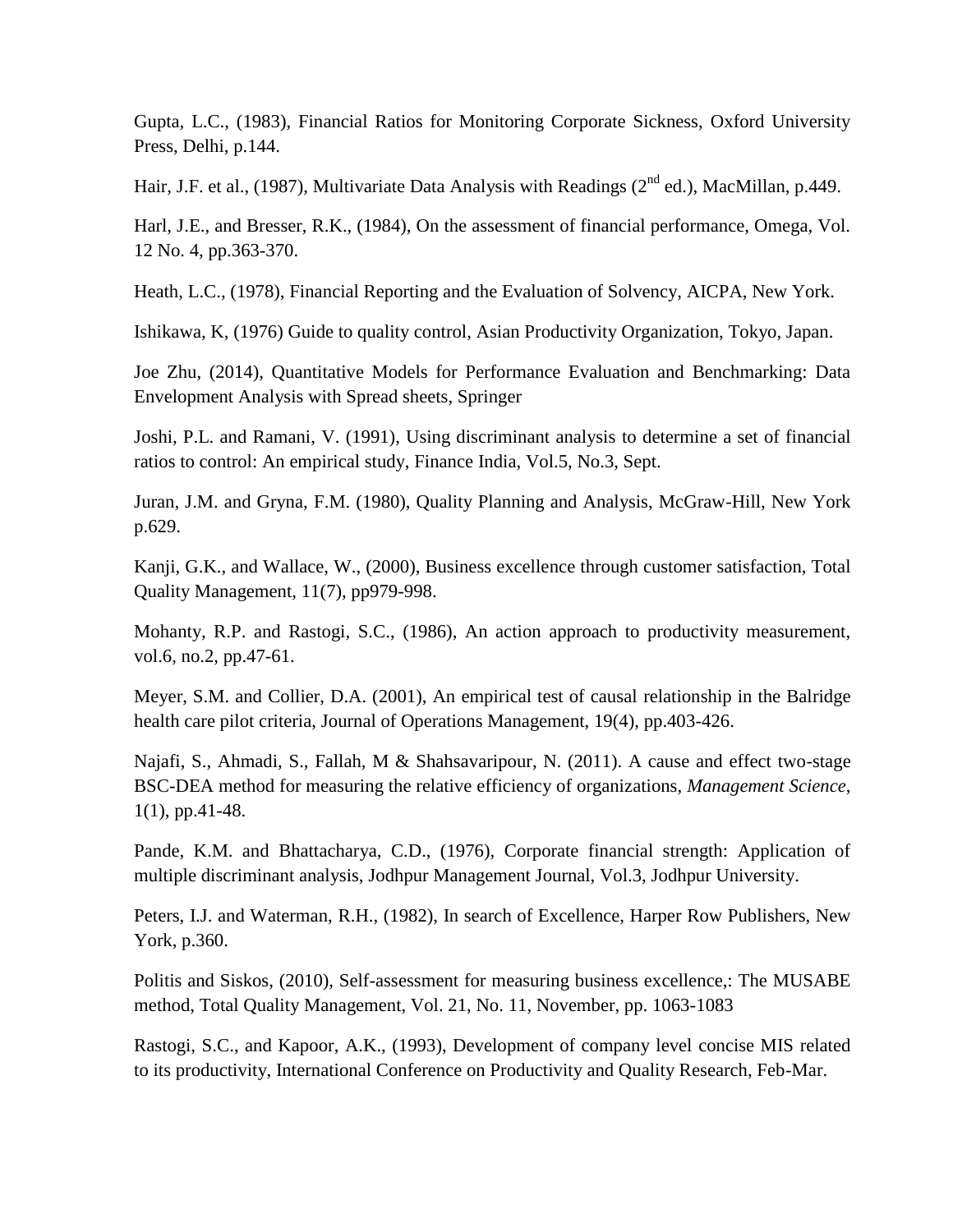Gupta, L.C., (1983), Financial Ratios for Monitoring Corporate Sickness, Oxford University Press, Delhi, p.144.

Hair, J.F. et al., (1987), Multivariate Data Analysis with Readings (2<sup>nd</sup> ed.), MacMillan, p.449.

Harl, J.E., and Bresser, R.K., (1984), On the assessment of financial performance, Omega, Vol. 12 No. 4, pp.363-370.

Heath, L.C., (1978), Financial Reporting and the Evaluation of Solvency, AICPA, New York.

Ishikawa, K, (1976) Guide to quality control, Asian Productivity Organization, Tokyo, Japan.

Joe Zhu, (2014), Quantitative Models for Performance Evaluation and Benchmarking: Data Envelopment Analysis with Spread sheets, Springer

Joshi, P.L. and Ramani, V. (1991), Using discriminant analysis to determine a set of financial ratios to control: An empirical study, Finance India, Vol.5, No.3, Sept.

Juran, J.M. and Gryna, F.M. (1980), Quality Planning and Analysis, McGraw-Hill, New York p.629.

Kanji, G.K., and Wallace, W., (2000), Business excellence through customer satisfaction, Total Quality Management, 11(7), pp979-998.

Mohanty, R.P. and Rastogi, S.C., (1986), An action approach to productivity measurement, vol.6, no.2, pp.47-61.

Meyer, S.M. and Collier, D.A. (2001), An empirical test of causal relationship in the Balridge health care pilot criteria, Journal of Operations Management, 19(4), pp.403-426.

Najafi, S., Ahmadi, S., Fallah, M & Shahsavaripour, N. (2011). A cause and effect two-stage BSC-DEA method for measuring the relative efficiency of organizations, *Management Science*, 1(1), pp.41-48.

Pande, K.M. and Bhattacharya, C.D., (1976), Corporate financial strength: Application of multiple discriminant analysis, Jodhpur Management Journal, Vol.3, Jodhpur University.

Peters, I.J. and Waterman, R.H., (1982), In search of Excellence, Harper Row Publishers, New York, p.360.

Politis and Siskos, (2010), Self-assessment for measuring business excellence,: The MUSABE method, Total Quality Management, Vol. 21, No. 11, November, pp. 1063-1083

Rastogi, S.C., and Kapoor, A.K., (1993), Development of company level concise MIS related to its productivity, International Conference on Productivity and Quality Research, Feb-Mar.